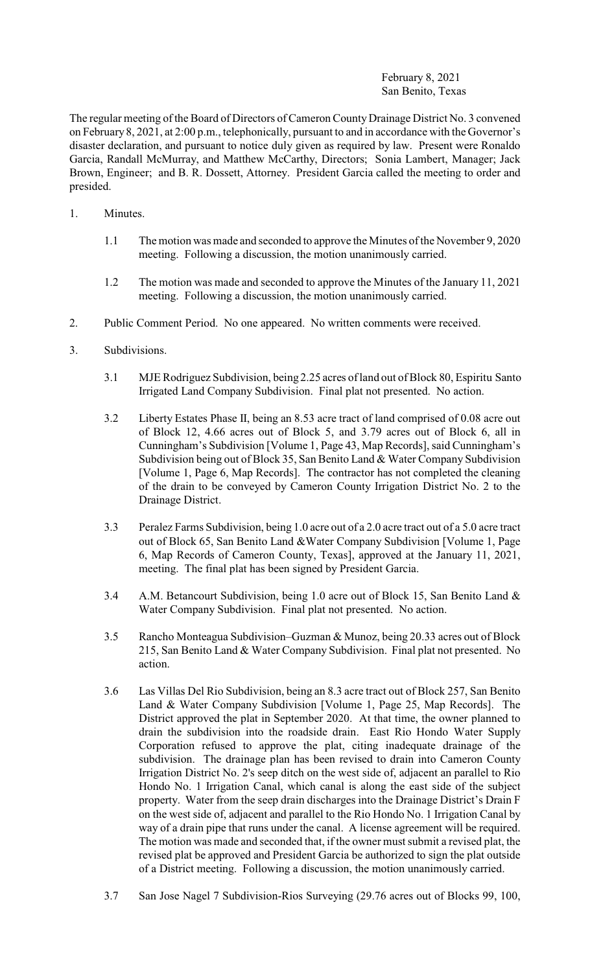## February 8, 2021 San Benito, Texas

The regular meeting of the Board of Directors of Cameron County Drainage District No. 3 convened on February 8, 2021, at 2:00 p.m., telephonically, pursuant to and in accordance with the Governor's disaster declaration, and pursuant to notice duly given as required by law. Present were Ronaldo Garcia, Randall McMurray, and Matthew McCarthy, Directors; Sonia Lambert, Manager; Jack Brown, Engineer; and B. R. Dossett, Attorney. President Garcia called the meeting to order and presided.

- 1. Minutes.
	- 1.1 The motion was made and seconded to approve the Minutes of the November 9, 2020 meeting. Following a discussion, the motion unanimously carried.
	- 1.2 The motion was made and seconded to approve the Minutes of the January 11, 2021 meeting. Following a discussion, the motion unanimously carried.
- 2. Public Comment Period. No one appeared. No written comments were received.
- 3. Subdivisions.
	- 3.1 MJE Rodriguez Subdivision, being 2.25 acres ofland out of Block 80, Espiritu Santo Irrigated Land Company Subdivision. Final plat not presented. No action.
	- 3.2 Liberty Estates Phase II, being an 8.53 acre tract of land comprised of 0.08 acre out of Block 12, 4.66 acres out of Block 5, and 3.79 acres out of Block 6, all in Cunningham's Subdivision [Volume 1, Page 43, Map Records], said Cunningham's Subdivision being out of Block 35, San Benito Land & Water Company Subdivision [Volume 1, Page 6, Map Records]. The contractor has not completed the cleaning of the drain to be conveyed by Cameron County Irrigation District No. 2 to the Drainage District.
	- 3.3 Peralez Farms Subdivision, being 1.0 acre out of a 2.0 acre tract out of a 5.0 acre tract out of Block 65, San Benito Land &Water Company Subdivision [Volume 1, Page 6, Map Records of Cameron County, Texas], approved at the January 11, 2021, meeting. The final plat has been signed by President Garcia.
	- 3.4 A.M. Betancourt Subdivision, being 1.0 acre out of Block 15, San Benito Land & Water Company Subdivision. Final plat not presented. No action.
	- 3.5 Rancho Monteagua Subdivision–Guzman & Munoz, being 20.33 acres out of Block 215, San Benito Land & Water Company Subdivision. Final plat not presented. No action.
	- 3.6 Las Villas Del Rio Subdivision, being an 8.3 acre tract out of Block 257, San Benito Land & Water Company Subdivision [Volume 1, Page 25, Map Records]. The District approved the plat in September 2020. At that time, the owner planned to drain the subdivision into the roadside drain. East Rio Hondo Water Supply Corporation refused to approve the plat, citing inadequate drainage of the subdivision. The drainage plan has been revised to drain into Cameron County Irrigation District No. 2's seep ditch on the west side of, adjacent an parallel to Rio Hondo No. 1 Irrigation Canal, which canal is along the east side of the subject property. Water from the seep drain discharges into the Drainage District's Drain F on the west side of, adjacent and parallel to the Rio Hondo No. 1 Irrigation Canal by way of a drain pipe that runs under the canal. A license agreement will be required. The motion was made and seconded that, if the owner must submit a revised plat, the revised plat be approved and President Garcia be authorized to sign the plat outside of a District meeting. Following a discussion, the motion unanimously carried.
	- 3.7 San Jose Nagel 7 Subdivision-Rios Surveying (29.76 acres out of Blocks 99, 100,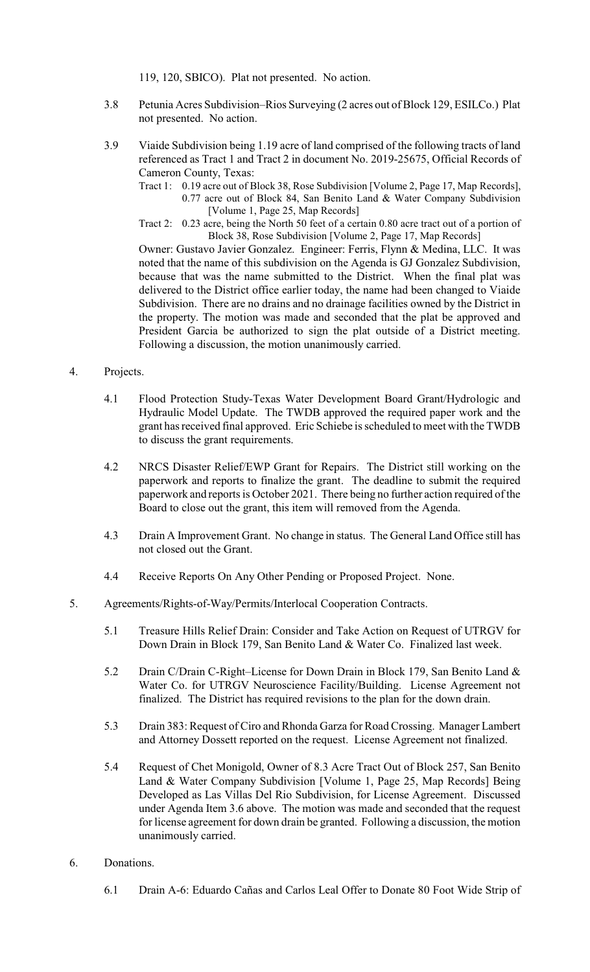119, 120, SBICO). Plat not presented. No action.

- 3.8 Petunia Acres Subdivision–Rios Surveying (2 acres out of Block 129, ESILCo.) Plat not presented. No action.
- 3.9 Viaide Subdivision being 1.19 acre of land comprised of the following tracts of land referenced as Tract 1 and Tract 2 in document No. 2019-25675, Official Records of Cameron County, Texas:
	- Tract 1: 0.19 acre out of Block 38, Rose Subdivision [Volume 2, Page 17, Map Records], 0.77 acre out of Block 84, San Benito Land & Water Company Subdivision [Volume 1, Page 25, Map Records]
	- Tract 2: 0.23 acre, being the North 50 feet of a certain 0.80 acre tract out of a portion of Block 38, Rose Subdivision [Volume 2, Page 17, Map Records]

Owner: Gustavo Javier Gonzalez. Engineer: Ferris, Flynn & Medina, LLC. It was noted that the name of this subdivision on the Agenda is GJ Gonzalez Subdivision, because that was the name submitted to the District. When the final plat was delivered to the District office earlier today, the name had been changed to Viaide Subdivision. There are no drains and no drainage facilities owned by the District in the property. The motion was made and seconded that the plat be approved and President Garcia be authorized to sign the plat outside of a District meeting. Following a discussion, the motion unanimously carried.

## 4. Projects.

- 4.1 Flood Protection Study-Texas Water Development Board Grant/Hydrologic and Hydraulic Model Update. The TWDB approved the required paper work and the grant has received final approved. Eric Schiebe is scheduled to meet with the TWDB to discuss the grant requirements.
- 4.2 NRCS Disaster Relief/EWP Grant for Repairs. The District still working on the paperwork and reports to finalize the grant. The deadline to submit the required paperwork and reports is October 2021. There being no further action required of the Board to close out the grant, this item will removed from the Agenda.
- 4.3 Drain A Improvement Grant. No change in status. The General Land Office still has not closed out the Grant.
- 4.4 Receive Reports On Any Other Pending or Proposed Project. None.
- 5. Agreements/Rights-of-Way/Permits/Interlocal Cooperation Contracts.
	- 5.1 Treasure Hills Relief Drain: Consider and Take Action on Request of UTRGV for Down Drain in Block 179, San Benito Land & Water Co. Finalized last week.
	- 5.2 Drain C/Drain C-Right–License for Down Drain in Block 179, San Benito Land & Water Co. for UTRGV Neuroscience Facility/Building. License Agreement not finalized. The District has required revisions to the plan for the down drain.
	- 5.3 Drain 383: Request of Ciro and Rhonda Garza for Road Crossing. Manager Lambert and Attorney Dossett reported on the request. License Agreement not finalized.
	- 5.4 Request of Chet Monigold, Owner of 8.3 Acre Tract Out of Block 257, San Benito Land & Water Company Subdivision [Volume 1, Page 25, Map Records] Being Developed as Las Villas Del Rio Subdivision, for License Agreement. Discussed under Agenda Item 3.6 above. The motion was made and seconded that the request for license agreement for down drain be granted. Following a discussion, the motion unanimously carried.
- 6. Donations.
	- 6.1 Drain A-6: Eduardo Cañas and Carlos Leal Offer to Donate 80 Foot Wide Strip of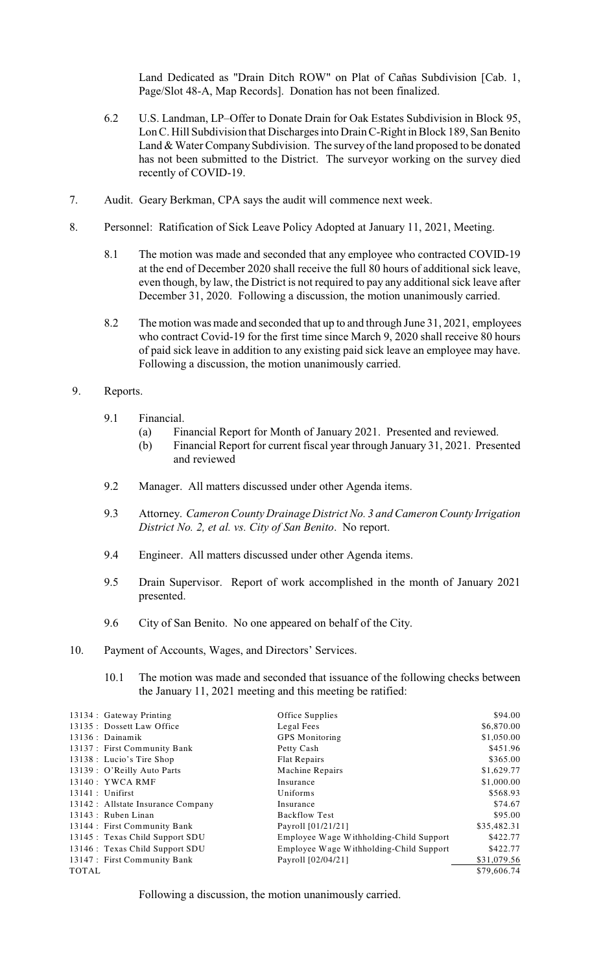Land Dedicated as "Drain Ditch ROW" on Plat of Cañas Subdivision [Cab. 1, Page/Slot 48-A, Map Records]. Donation has not been finalized.

- 6.2 U.S. Landman, LP–Offer to Donate Drain for Oak Estates Subdivision in Block 95, LonC. Hill Subdivision that Discharges into Drain C-Right in Block 189, San Benito Land & Water Company Subdivision. The survey of the land proposed to be donated has not been submitted to the District. The surveyor working on the survey died recently of COVID-19.
- 7. Audit. Geary Berkman, CPA says the audit will commence next week.
- 8. Personnel: Ratification of Sick Leave Policy Adopted at January 11, 2021, Meeting.
	- 8.1 The motion was made and seconded that any employee who contracted COVID-19 at the end of December 2020 shall receive the full 80 hours of additional sick leave, even though, by law, the District is not required to pay any additional sick leave after December 31, 2020. Following a discussion, the motion unanimously carried.
	- 8.2 The motion was made and seconded that up to and through June 31, 2021, employees who contract Covid-19 for the first time since March 9, 2020 shall receive 80 hours of paid sick leave in addition to any existing paid sick leave an employee may have. Following a discussion, the motion unanimously carried.

## 9. Reports.

- 9.1 Financial.
	- (a) Financial Report for Month of January 2021. Presented and reviewed.
	- (b) Financial Report for current fiscal year through January 31, 2021. Presented and reviewed
- 9.2 Manager. All matters discussed under other Agenda items.
- 9.3 Attorney. *Cameron County Drainage District No. 3 and Cameron County Irrigation District No. 2, et al. vs. City of San Benito*. No report.
- 9.4 Engineer. All matters discussed under other Agenda items.
- 9.5 Drain Supervisor. Report of work accomplished in the month of January 2021 presented.
- 9.6 City of San Benito. No one appeared on behalf of the City.
- 10. Payment of Accounts, Wages, and Directors' Services.
	- 10.1 The motion was made and seconded that issuance of the following checks between the January 11, 2021 meeting and this meeting be ratified:

| 13134 : Gateway Printing           | Office Supplies                         | \$94.00     |
|------------------------------------|-----------------------------------------|-------------|
| 13135 : Dossett Law Office         | Legal Fees                              | \$6,870.00  |
| $13136:$ Dainamik                  | <b>GPS</b> Monitoring                   | \$1,050.00  |
| 13137 : First Community Bank       | Petty Cash                              | \$451.96    |
| 13138 : Lucio's Tire Shop          | <b>Flat Repairs</b>                     | \$365.00    |
| 13139 : O'Reilly Auto Parts        | Machine Repairs                         | \$1,629.77  |
| 13140 : YWCA RMF                   | Insurance                               | \$1,000.00  |
| $13141$ : Unifirst                 | Uniforms                                | \$568.93    |
| 13142 : Allstate Insurance Company | Insurance                               | \$74.67     |
| $13143$ : Ruben Linan              | <b>Backflow Test</b>                    | \$95.00     |
| 13144 : First Community Bank       | Payroll [01/21/21]                      | \$35,482.31 |
| 13145 : Texas Child Support SDU    | Employee Wage Withholding-Child Support | \$422.77    |
| 13146 : Texas Child Support SDU    | Employee Wage Withholding-Child Support | \$422.77    |
| 13147 : First Community Bank       | Payroll [02/04/21]                      | \$31,079.56 |
| <b>TOTAL</b>                       |                                         | \$79,606.74 |
|                                    |                                         |             |

Following a discussion, the motion unanimously carried.